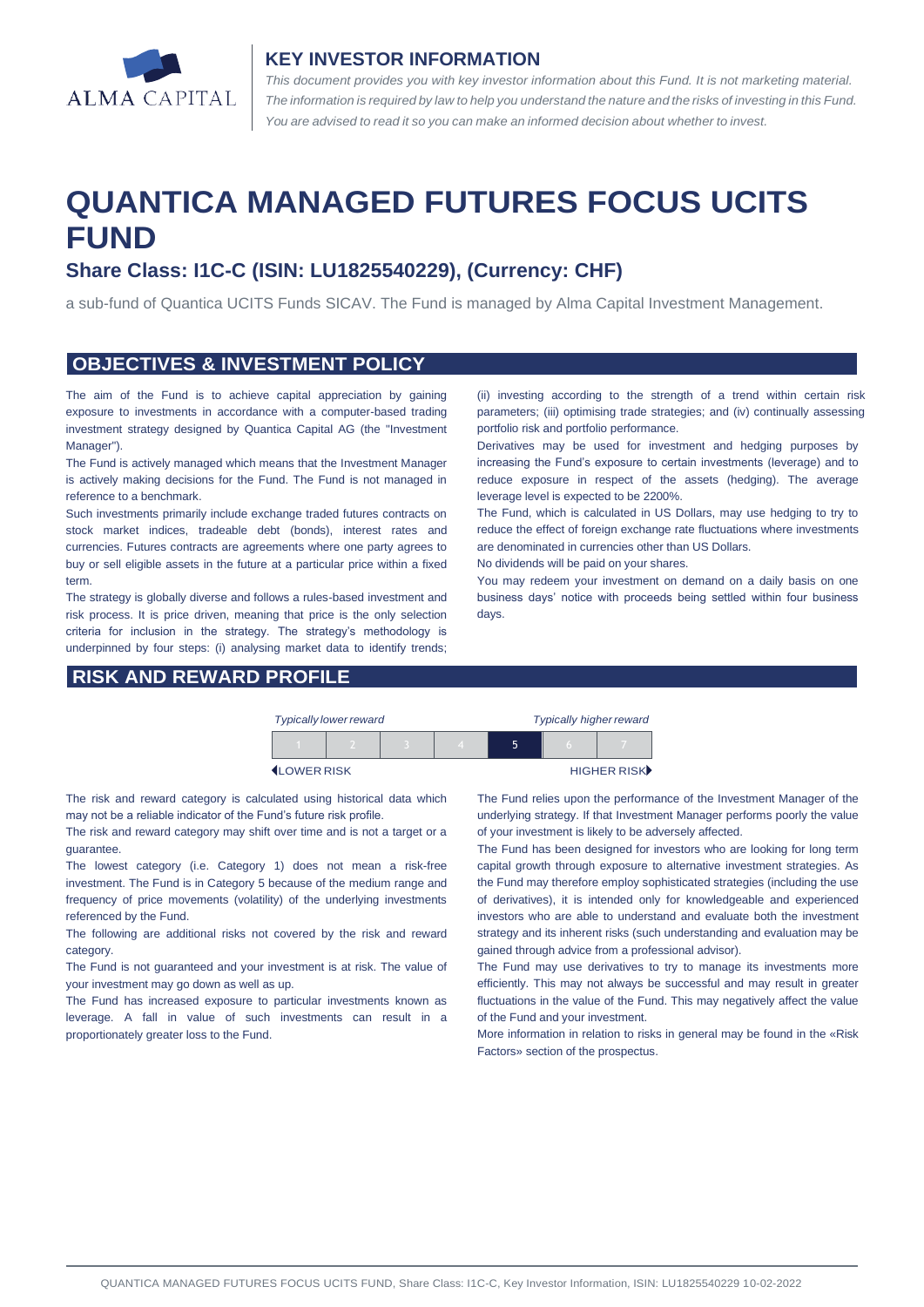

#### **KEY INVESTOR INFORMATION**

*This document provides you with key investor information about this Fund. It is not marketing material.*  The information is required by law to help you understand the nature and the risks of investing in this Fund. *You are advised to read it so you can make an informed decision about whether to invest.*

# **QUANTICA MANAGED FUTURES FOCUS UCITS FUND**

# **Share Class: I1C-C (ISIN: LU1825540229), (Currency: CHF)**

a sub-fund of Quantica UCITS Funds SICAV. The Fund is managed by Alma Capital Investment Management.

#### **OBJECTIVES & INVESTMENT POLICY**

The aim of the Fund is to achieve capital appreciation by gaining exposure to investments in accordance with a computer-based trading investment strategy designed by Quantica Capital AG (the "Investment Manager").

The Fund is actively managed which means that the Investment Manager is actively making decisions for the Fund. The Fund is not managed in reference to a benchmark.

Such investments primarily include exchange traded futures contracts on stock market indices, tradeable debt (bonds), interest rates and currencies. Futures contracts are agreements where one party agrees to buy or sell eligible assets in the future at a particular price within a fixed term.

The strategy is globally diverse and follows a rules-based investment and risk process. It is price driven, meaning that price is the only selection criteria for inclusion in the strategy. The strategy's methodology is underpinned by four steps: (i) analysing market data to identify trends;

### **RISK AND REWARD PROFILE**

(ii) investing according to the strength of a trend within certain risk parameters; (iii) optimising trade strategies; and (iv) continually assessing portfolio risk and portfolio performance.

Derivatives may be used for investment and hedging purposes by increasing the Fund's exposure to certain investments (leverage) and to reduce exposure in respect of the assets (hedging). The average leverage level is expected to be 2200%.

The Fund, which is calculated in US Dollars, may use hedging to try to reduce the effect of foreign exchange rate fluctuations where investments are denominated in currencies other than US Dollars.

No dividends will be paid on your shares.

You may redeem your investment on demand on a daily basis on one business days' notice with proceeds being settled within four business days.

|                    | <b>Typically lower reward</b> |  | <b>Typically higher reward</b> |   |  |             |
|--------------------|-------------------------------|--|--------------------------------|---|--|-------------|
|                    |                               |  |                                | ↖ |  |             |
| <b>ILOWER RISK</b> |                               |  |                                |   |  | HIGHER RISK |

The risk and reward category is calculated using historical data which may not be a reliable indicator of the Fund's future risk profile.

The risk and reward category may shift over time and is not a target or a guarantee.

The lowest category (i.e. Category 1) does not mean a risk-free investment. The Fund is in Category 5 because of the medium range and frequency of price movements (volatility) of the underlying investments referenced by the Fund.

The following are additional risks not covered by the risk and reward category.

The Fund is not guaranteed and your investment is at risk. The value of your investment may go down as well as up.

The Fund has increased exposure to particular investments known as leverage. A fall in value of such investments can result in a proportionately greater loss to the Fund.

The Fund relies upon the performance of the Investment Manager of the underlying strategy. If that Investment Manager performs poorly the value of your investment is likely to be adversely affected.

The Fund has been designed for investors who are looking for long term capital growth through exposure to alternative investment strategies. As the Fund may therefore employ sophisticated strategies (including the use of derivatives), it is intended only for knowledgeable and experienced investors who are able to understand and evaluate both the investment strategy and its inherent risks (such understanding and evaluation may be gained through advice from a professional advisor).

The Fund may use derivatives to try to manage its investments more efficiently. This may not always be successful and may result in greater fluctuations in the value of the Fund. This may negatively affect the value of the Fund and your investment.

More information in relation to risks in general may be found in the «Risk Factors» section of the prospectus.